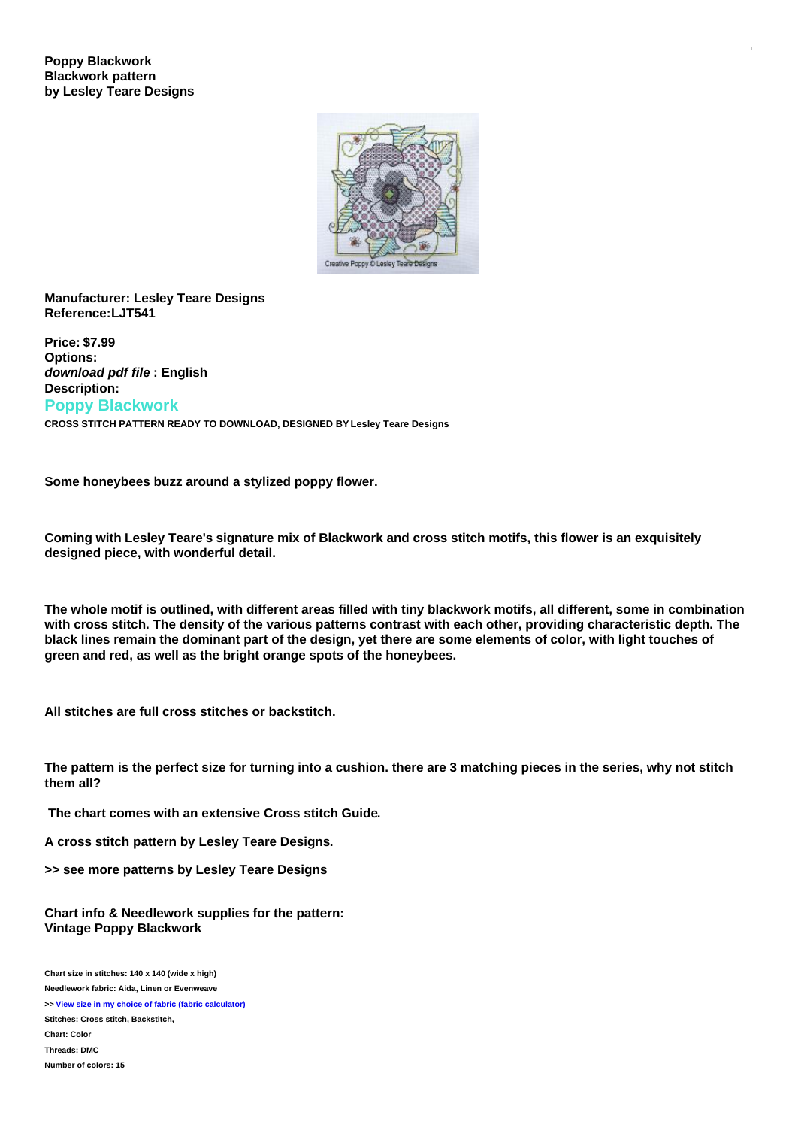

## **Manufacturer: Lesley Teare Designs Reference:LJT541**

**Price: \$7.99 Options:** *download pdf file* **: English Description: Poppy Blackwork CROSS STITCH PATTERN READY TO DOWNLOAD, DESIGNED BY Lesley Teare Designs**

**Some honeybees buzz around a stylized poppy flower.**

Coming with Lesley Teare's signature mix of Blackwork and cross stitch motifs, this flower is an exquisitely **designed piece, with wonderful detail.**

The whole motif is outlined, with different areas filled with tiny blackwork motifs, all different, some in combination with cross stitch. The density of the various patterns contrast with each other, providing characteristic depth. The black lines remain the dominant part of the design, yet there are some elements of color, with light touches of **green and red, as well as the bright orange spots of the honeybees.**

**All stitches are full cross stitches or backstitch.**

The pattern is the perfect size for turning into a cushion. there are 3 matching pieces in the series, why not stitch **them all?**

**The chart comes with an extensive Cross stitch Guide.**

**A cross stitch pattern by Lesley Teare Designs.**

**>> see more patterns by Lesley Teare Designs**

**Chart info & Needlework supplies for the pattern: Vintage Poppy Blackwork**

**Chart size in stitches: 140 x 140 (wide x high) Needlework fabric: Aida, Linen or Evenweave >> View size in my choice of fabric (fabric [calculator\)](https://www.creativepoppypatterns.com/calculette-de-toile.php?products_id=3069&w=140&h=140) Stitches: Cross stitch, Backstitch, Chart: Color Threads: DMC Number of colors: 15**